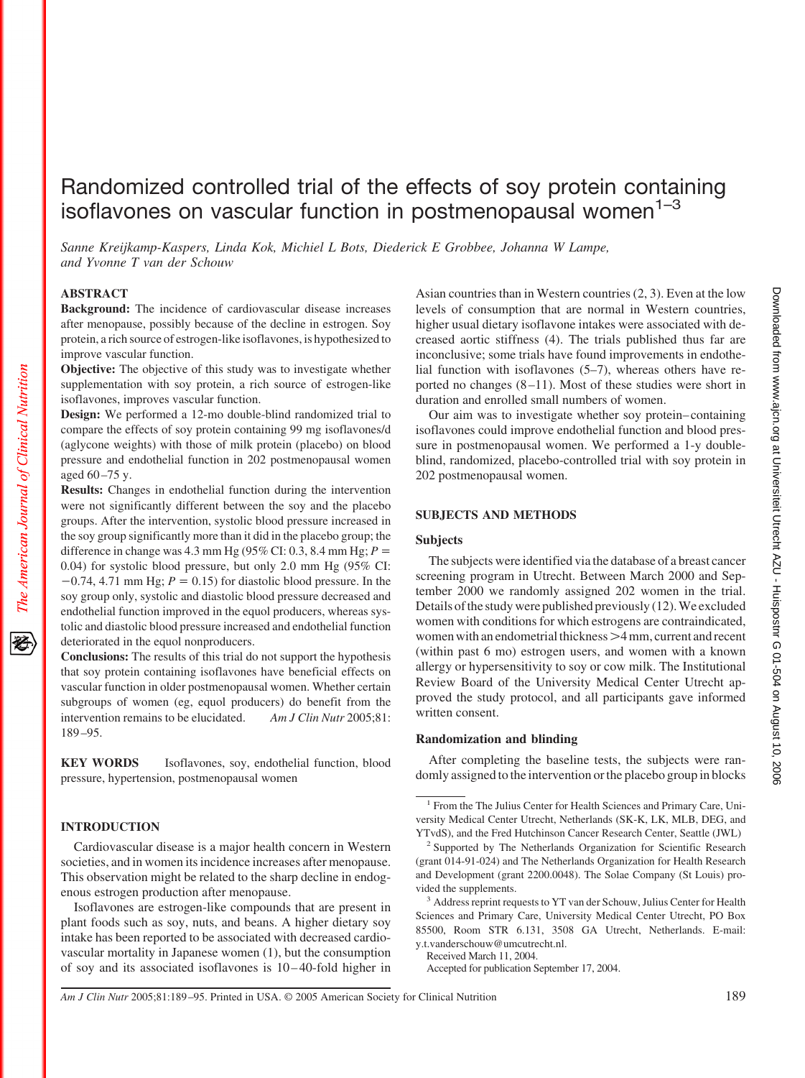# Randomized controlled trial of the effects of soy protein containing isoflavones on vascular function in postmenopausal women $1-3$

*Sanne Kreijkamp-Kaspers, Linda Kok, Michiel L Bots, Diederick E Grobbee, Johanna W Lampe, and Yvonne T van der Schouw*

# **ABSTRACT**

The American Journal of Clinical Nutrition

**Background:** The incidence of cardiovascular disease increases after menopause, possibly because of the decline in estrogen. Soy protein, a rich source of estrogen-like isoflavones, is hypothesized to improve vascular function.

**Objective:** The objective of this study was to investigate whether supplementation with soy protein, a rich source of estrogen-like isoflavones, improves vascular function.

**Design:** We performed a 12-mo double-blind randomized trial to compare the effects of soy protein containing 99 mg isoflavones/d (aglycone weights) with those of milk protein (placebo) on blood pressure and endothelial function in 202 postmenopausal women aged  $60-75$  y.

**Results:** Changes in endothelial function during the intervention were not significantly different between the soy and the placebo groups. After the intervention, systolic blood pressure increased in the soy group significantly more than it did in the placebo group; the difference in change was 4.3 mm Hg (95% CI: 0.3, 8.4 mm Hg; *P* 0.04) for systolic blood pressure, but only 2.0 mm Hg (95% CI:  $-0.74$ , 4.71 mm Hg;  $P = 0.15$ ) for diastolic blood pressure. In the soy group only, systolic and diastolic blood pressure decreased and endothelial function improved in the equol producers, whereas systolic and diastolic blood pressure increased and endothelial function deteriorated in the equol nonproducers.

**Conclusions:** The results of this trial do not support the hypothesis that soy protein containing isoflavones have beneficial effects on vascular function in older postmenopausal women. Whether certain subgroups of women (eg, equol producers) do benefit from the intervention remains to be elucidated. *Am J Clin Nutr* 2005;81: 189 –95.

**KEY WORDS** Isoflavones, soy, endothelial function, blood pressure, hypertension, postmenopausal women

## **INTRODUCTION**

Cardiovascular disease is a major health concern in Western societies, and in women its incidence increases after menopause. This observation might be related to the sharp decline in endogenous estrogen production after menopause.

Isoflavones are estrogen-like compounds that are present in plant foods such as soy, nuts, and beans. A higher dietary soy intake has been reported to be associated with decreased cardiovascular mortality in Japanese women (1), but the consumption of soy and its associated isoflavones is 10 – 40-fold higher in Asian countries than in Western countries (2, 3). Even at the low levels of consumption that are normal in Western countries, higher usual dietary isoflavone intakes were associated with decreased aortic stiffness (4). The trials published thus far are inconclusive; some trials have found improvements in endothelial function with isoflavones (5–7), whereas others have reported no changes  $(8-11)$ . Most of these studies were short in duration and enrolled small numbers of women.

Our aim was to investigate whether soy protein– containing isoflavones could improve endothelial function and blood pressure in postmenopausal women. We performed a 1-y doubleblind, randomized, placebo-controlled trial with soy protein in 202 postmenopausal women.

## **SUBJECTS AND METHODS**

## **Subjects**

The subjects were identified via the database of a breast cancer screening program in Utrecht. Between March 2000 and September 2000 we randomly assigned 202 women in the trial. Details of the study were published previously (12). We excluded women with conditions for which estrogens are contraindicated, women with an endometrial thickness  $>4$  mm, current and recent (within past 6 mo) estrogen users, and women with a known allergy or hypersensitivity to soy or cow milk. The Institutional Review Board of the University Medical Center Utrecht approved the study protocol, and all participants gave informed written consent.

## **Randomization and blinding**

After completing the baseline tests, the subjects were randomly assigned to the intervention or the placebo group in blocks

Accepted for publication September 17, 2004.

*Am J Clin Nutr* 2005;81:189 –95. Printed in USA. © 2005 American Society for Clinical Nutrition 189

<sup>&</sup>lt;sup>1</sup> From the The Julius Center for Health Sciences and Primary Care, University Medical Center Utrecht, Netherlands (SK-K, LK, MLB, DEG, and YTvdS), and the Fred Hutchinson Cancer Research Center, Seattle (JWL)

<sup>2</sup> Supported by The Netherlands Organization for Scientific Research (grant 014-91-024) and The Netherlands Organization for Health Research and Development (grant 2200.0048). The Solae Company (St Louis) provided the supplements.

<sup>&</sup>lt;sup>3</sup> Address reprint requests to YT van der Schouw, Julius Center for Health Sciences and Primary Care, University Medical Center Utrecht, PO Box 85500, Room STR 6.131, 3508 GA Utrecht, Netherlands. E-mail: y.t.vanderschouw@umcutrecht.nl.

Received March 11, 2004.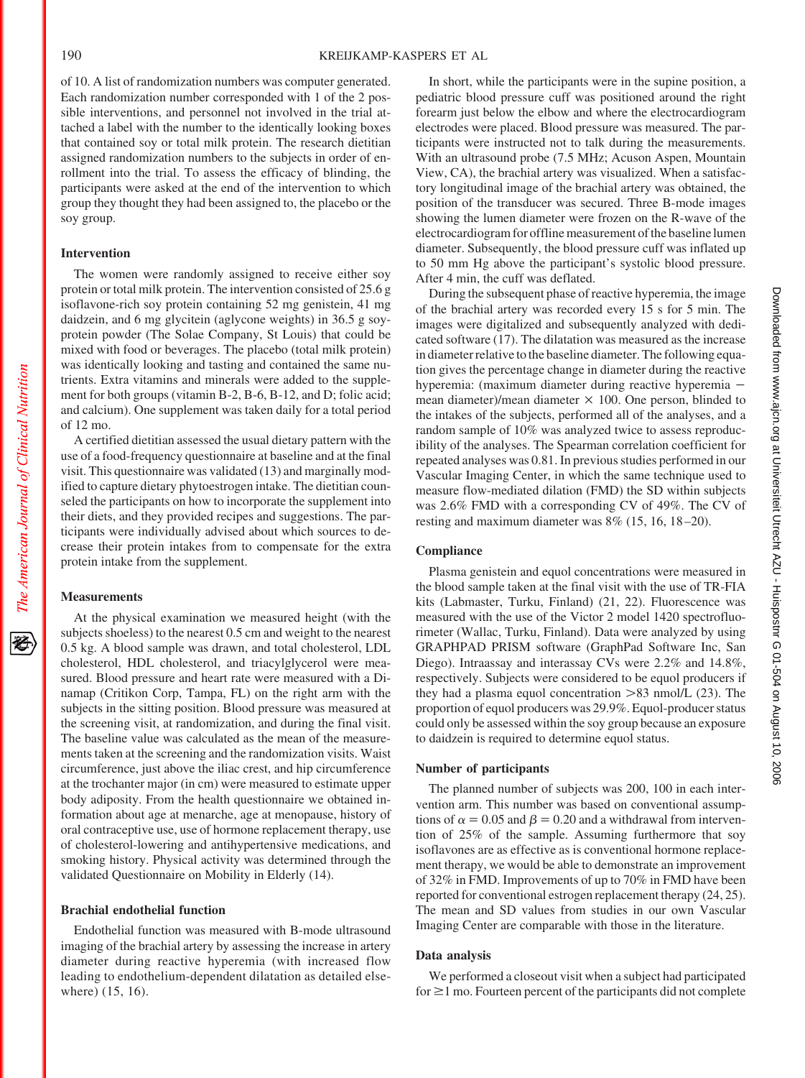of 10. A list of randomization numbers was computer generated. Each randomization number corresponded with 1 of the 2 possible interventions, and personnel not involved in the trial attached a label with the number to the identically looking boxes that contained soy or total milk protein. The research dietitian assigned randomization numbers to the subjects in order of enrollment into the trial. To assess the efficacy of blinding, the participants were asked at the end of the intervention to which group they thought they had been assigned to, the placebo or the soy group.

## **Intervention**

The women were randomly assigned to receive either soy protein or total milk protein. The intervention consisted of 25.6 g isoflavone-rich soy protein containing 52 mg genistein, 41 mg daidzein, and 6 mg glycitein (aglycone weights) in 36.5 g soyprotein powder (The Solae Company, St Louis) that could be mixed with food or beverages. The placebo (total milk protein) was identically looking and tasting and contained the same nutrients. Extra vitamins and minerals were added to the supplement for both groups (vitamin B-2, B-6, B-12, and D; folic acid; and calcium). One supplement was taken daily for a total period of 12 mo.

A certified dietitian assessed the usual dietary pattern with the use of a food-frequency questionnaire at baseline and at the final visit. This questionnaire was validated (13) and marginally modified to capture dietary phytoestrogen intake. The dietitian counseled the participants on how to incorporate the supplement into their diets, and they provided recipes and suggestions. The participants were individually advised about which sources to decrease their protein intakes from to compensate for the extra protein intake from the supplement.

#### **Measurements**

The American Journal of Clinical Nutrition

At the physical examination we measured height (with the subjects shoeless) to the nearest 0.5 cm and weight to the nearest 0.5 kg. A blood sample was drawn, and total cholesterol, LDL cholesterol, HDL cholesterol, and triacylglycerol were measured. Blood pressure and heart rate were measured with a Dinamap (Critikon Corp, Tampa, FL) on the right arm with the subjects in the sitting position. Blood pressure was measured at the screening visit, at randomization, and during the final visit. The baseline value was calculated as the mean of the measurements taken at the screening and the randomization visits. Waist circumference, just above the iliac crest, and hip circumference at the trochanter major (in cm) were measured to estimate upper body adiposity. From the health questionnaire we obtained information about age at menarche, age at menopause, history of oral contraceptive use, use of hormone replacement therapy, use of cholesterol-lowering and antihypertensive medications, and smoking history. Physical activity was determined through the validated Questionnaire on Mobility in Elderly (14).

## **Brachial endothelial function**

Endothelial function was measured with B-mode ultrasound imaging of the brachial artery by assessing the increase in artery diameter during reactive hyperemia (with increased flow leading to endothelium-dependent dilatation as detailed elsewhere) (15, 16).

In short, while the participants were in the supine position, a pediatric blood pressure cuff was positioned around the right forearm just below the elbow and where the electrocardiogram electrodes were placed. Blood pressure was measured. The participants were instructed not to talk during the measurements. With an ultrasound probe (7.5 MHz; Acuson Aspen, Mountain View, CA), the brachial artery was visualized. When a satisfactory longitudinal image of the brachial artery was obtained, the position of the transducer was secured. Three B-mode images showing the lumen diameter were frozen on the R-wave of the electrocardiogram for offline measurement of the baseline lumen diameter. Subsequently, the blood pressure cuff was inflated up to 50 mm Hg above the participant's systolic blood pressure. After 4 min, the cuff was deflated.

During the subsequent phase of reactive hyperemia, the image of the brachial artery was recorded every 15 s for 5 min. The images were digitalized and subsequently analyzed with dedicated software (17). The dilatation was measured as the increase in diameter relative to the baseline diameter. The following equation gives the percentage change in diameter during the reactive hyperemia: (maximum diameter during reactive hyperemia mean diameter)/mean diameter  $\times$  100. One person, blinded to the intakes of the subjects, performed all of the analyses, and a random sample of 10% was analyzed twice to assess reproducibility of the analyses. The Spearman correlation coefficient for repeated analyses was 0.81. In previous studies performed in our Vascular Imaging Center, in which the same technique used to measure flow-mediated dilation (FMD) the SD within subjects was 2.6% FMD with a corresponding CV of 49%. The CV of resting and maximum diameter was 8% (15, 16, 18 –20).

## **Compliance**

Plasma genistein and equol concentrations were measured in the blood sample taken at the final visit with the use of TR-FIA kits (Labmaster, Turku, Finland) (21, 22). Fluorescence was measured with the use of the Victor 2 model 1420 spectrofluorimeter (Wallac, Turku, Finland). Data were analyzed by using GRAPHPAD PRISM software (GraphPad Software Inc, San Diego). Intraassay and interassay CVs were 2.2% and 14.8%, respectively. Subjects were considered to be equol producers if they had a plasma equol concentration  $>83$  nmol/L (23). The proportion of equol producers was 29.9%. Equol-producer status could only be assessed within the soy group because an exposure to daidzein is required to determine equol status.

## **Number of participants**

The planned number of subjects was 200, 100 in each intervention arm. This number was based on conventional assumptions of  $\alpha = 0.05$  and  $\beta = 0.20$  and a withdrawal from intervention of 25% of the sample. Assuming furthermore that soy isoflavones are as effective as is conventional hormone replacement therapy, we would be able to demonstrate an improvement of 32% in FMD. Improvements of up to 70% in FMD have been reported for conventional estrogen replacement therapy (24, 25). The mean and SD values from studies in our own Vascular Imaging Center are comparable with those in the literature.

#### **Data analysis**

We performed a closeout visit when a subject had participated for  $\geq$  1 mo. Fourteen percent of the participants did not complete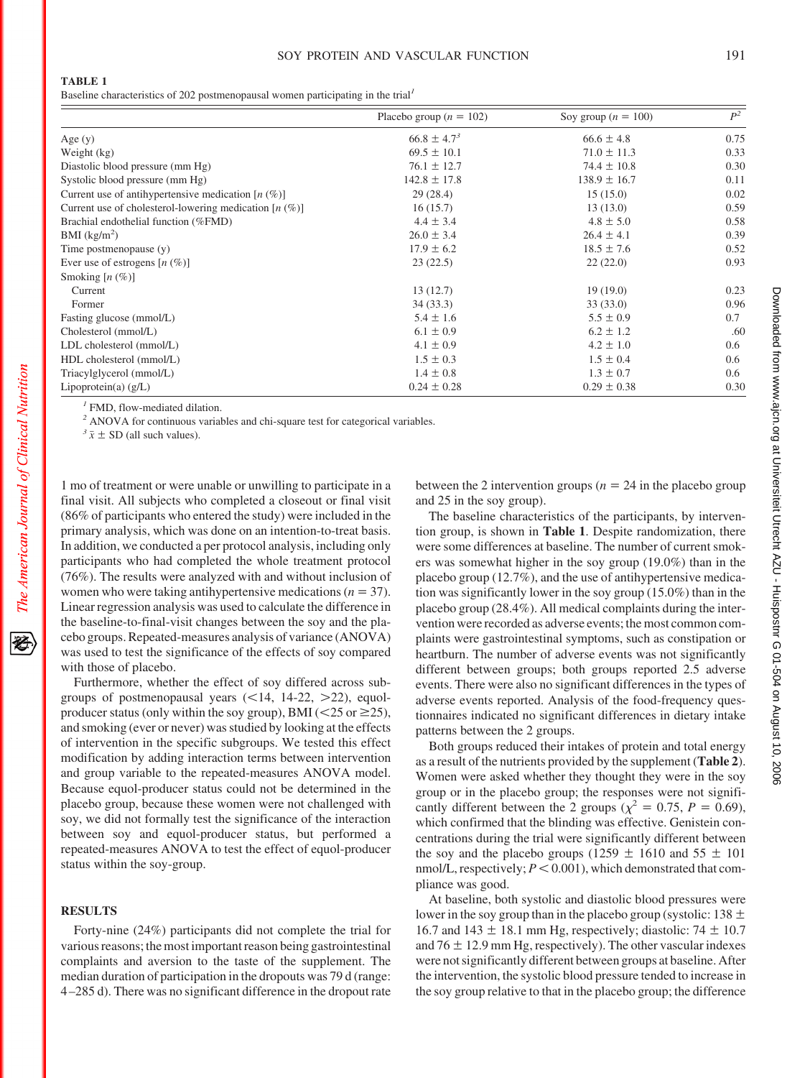Downloaded from www.ajcn.org at Universiteit Utrecht AZU - Huispostnr G 01-504 on August 10, 2006 Downloadedfrom [www.ajcn.org](http://www.ajcn.org) at Universiteit Utrecht AZU - Huispostnr G 01-504 on August 10, 2006

**TABLE 1**

Baseline characteristics of 202 postmenopausal women participating in the trial*<sup>1</sup>*

|                                                           | Placebo group ( $n = 102$ ) | Soy group ( $n = 100$ ) | $P^2$ |
|-----------------------------------------------------------|-----------------------------|-------------------------|-------|
| Age(y)                                                    | $66.8 \pm 4.7^3$            | $66.6 \pm 4.8$          | 0.75  |
| Weight (kg)                                               | $69.5 \pm 10.1$             | $71.0 \pm 11.3$         | 0.33  |
| Diastolic blood pressure (mm Hg)                          | $76.1 \pm 12.7$             | $74.4 \pm 10.8$         | 0.30  |
| Systolic blood pressure (mm Hg)                           | $142.8 \pm 17.8$            | $138.9 \pm 16.7$        | 0.11  |
| Current use of antihypertensive medication $[n (\%)]$     | 29 (28.4)                   | 15(15.0)                | 0.02  |
| Current use of cholesterol-lowering medication $[n (\%)]$ | 16(15.7)                    | 13(13.0)                | 0.59  |
| Brachial endothelial function (%FMD)                      | $4.4 \pm 3.4$               | $4.8 \pm 5.0$           | 0.58  |
| BMI $(kg/m^2)$                                            | $26.0 \pm 3.4$              | $26.4 \pm 4.1$          | 0.39  |
| Time postmenopause (y)                                    | $17.9 \pm 6.2$              | $18.5 \pm 7.6$          | 0.52  |
| Ever use of estrogens $[n (\%)]$                          | 23(22.5)                    | 22(22.0)                | 0.93  |
| Smoking $[n (\%)]$                                        |                             |                         |       |
| Current                                                   | 13(12.7)                    | 19(19.0)                | 0.23  |
| Former                                                    | 34(33.3)                    | 33(33.0)                | 0.96  |
| Fasting glucose (mmol/L)                                  | $5.4 \pm 1.6$               | $5.5 \pm 0.9$           | 0.7   |
| Cholesterol (mmol/L)                                      | $6.1 \pm 0.9$               | $6.2 \pm 1.2$           | .60   |
| LDL cholesterol (mmol/L)                                  | $4.1 \pm 0.9$               | $4.2 \pm 1.0$           | 0.6   |
| HDL cholesterol (mmol/L)                                  | $1.5 \pm 0.3$               | $1.5 \pm 0.4$           | 0.6   |
| Triacylglycerol (mmol/L)                                  | $1.4 \pm 0.8$               | $1.3 \pm 0.7$           | 0.6   |
| Lipoprotein(a) $(g/L)$                                    | $0.24 \pm 0.28$             | $0.29 \pm 0.38$         | 0.30  |

*<sup>1</sup>* FMD, flow-mediated dilation.

<sup>2</sup> ANOVA for continuous variables and chi-square test for categorical variables.

 $\sqrt[3]{x} \pm SD$  (all such values).

1 mo of treatment or were unable or unwilling to participate in a final visit. All subjects who completed a closeout or final visit (86% of participants who entered the study) were included in the primary analysis, which was done on an intention-to-treat basis. In addition, we conducted a per protocol analysis, including only participants who had completed the whole treatment protocol (76%). The results were analyzed with and without inclusion of women who were taking antihypertensive medications  $(n = 37)$ . Linear regression analysis was used to calculate the difference in the baseline-to-final-visit changes between the soy and the placebo groups. Repeated-measures analysis of variance (ANOVA) was used to test the significance of the effects of soy compared with those of placebo.

Furthermore, whether the effect of soy differed across subgroups of postmenopausal years  $(<14, 14-22, >22)$ , equolproducer status (only within the soy group), BMI ( $\leq$ 25 or  $\geq$ 25), and smoking (ever or never) was studied by looking at the effects of intervention in the specific subgroups. We tested this effect modification by adding interaction terms between intervention and group variable to the repeated-measures ANOVA model. Because equol-producer status could not be determined in the placebo group, because these women were not challenged with soy, we did not formally test the significance of the interaction between soy and equol-producer status, but performed a repeated-measures ANOVA to test the effect of equol-producer status within the soy-group.

## **RESULTS**

Forty-nine (24%) participants did not complete the trial for various reasons; the most important reason being gastrointestinal complaints and aversion to the taste of the supplement. The median duration of participation in the dropouts was 79 d (range: 4 –285 d). There was no significant difference in the dropout rate

between the 2 intervention groups ( $n = 24$  in the placebo group and 25 in the soy group).

The baseline characteristics of the participants, by intervention group, is shown in **Table 1**. Despite randomization, there were some differences at baseline. The number of current smokers was somewhat higher in the soy group (19.0%) than in the placebo group (12.7%), and the use of antihypertensive medication was significantly lower in the soy group (15.0%) than in the placebo group (28.4%). All medical complaints during the intervention were recorded as adverse events; the most common complaints were gastrointestinal symptoms, such as constipation or heartburn. The number of adverse events was not significantly different between groups; both groups reported 2.5 adverse events. There were also no significant differences in the types of adverse events reported. Analysis of the food-frequency questionnaires indicated no significant differences in dietary intake patterns between the 2 groups.

Both groups reduced their intakes of protein and total energy as a result of the nutrients provided by the supplement (**Table 2**). Women were asked whether they thought they were in the soy group or in the placebo group; the responses were not significantly different between the 2 groups ( $\chi^2 = 0.75$ ,  $P = 0.69$ ), which confirmed that the blinding was effective. Genistein concentrations during the trial were significantly different between the soy and the placebo groups (1259  $\pm$  1610 and 55  $\pm$  101 nmol/L, respectively;  $P < 0.001$ ), which demonstrated that compliance was good.

At baseline, both systolic and diastolic blood pressures were lower in the soy group than in the placebo group (systolic:  $138 \pm$ 16.7 and 143  $\pm$  18.1 mm Hg, respectively; diastolic: 74  $\pm$  10.7 and  $76 \pm 12.9$  mm Hg, respectively). The other vascular indexes were not significantly different between groups at baseline. After the intervention, the systolic blood pressure tended to increase in the soy group relative to that in the placebo group; the difference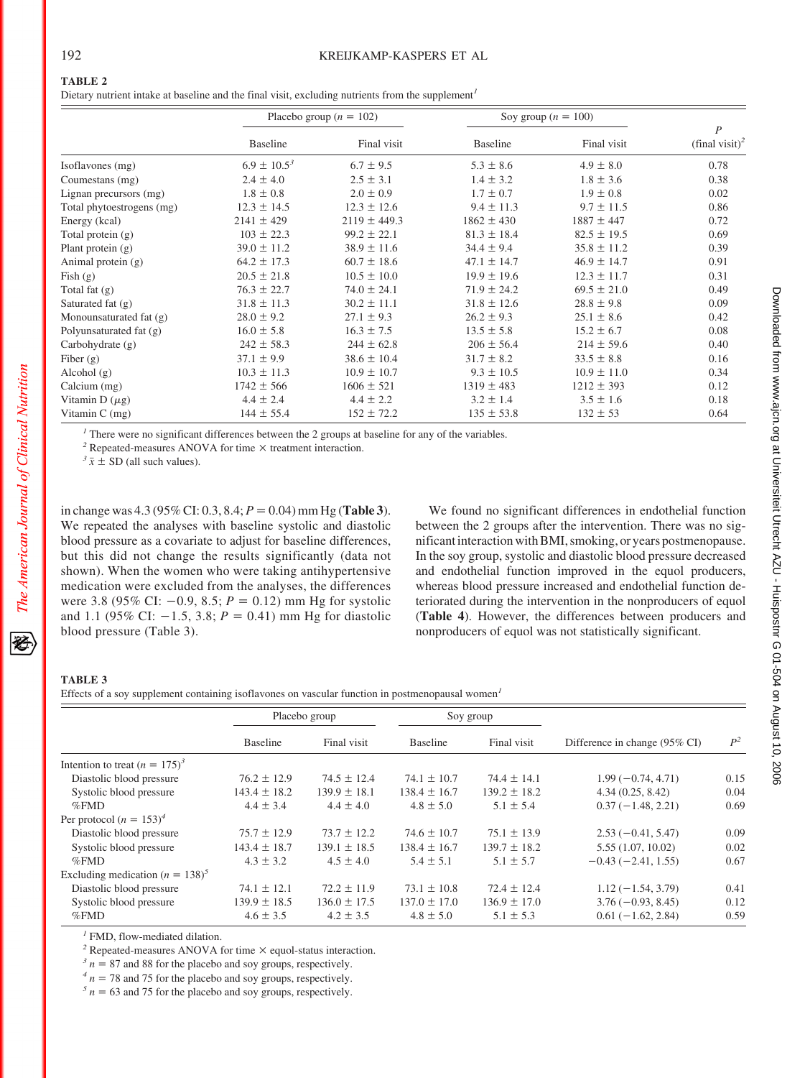## **TABLE 2**

Dietary nutrient intake at baseline and the final visit, excluding nutrients from the supplement<sup>1</sup>

|                           | Placebo group ( $n = 102$ ) |                  | Soy group ( $n = 100$ ) |                 |                        |
|---------------------------|-----------------------------|------------------|-------------------------|-----------------|------------------------|
|                           | <b>Baseline</b>             | Final visit      | <b>Baseline</b>         | Final visit     | P<br>$(final visit)^2$ |
| Isoflavones (mg)          | $6.9 \pm 10.5^3$            | $6.7 \pm 9.5$    | $5.3 \pm 8.6$           | $4.9 \pm 8.0$   | 0.78                   |
| Coumestans (mg)           | $2.4 \pm 4.0$               | $2.5 \pm 3.1$    | $1.4 \pm 3.2$           | $1.8 \pm 3.6$   | 0.38                   |
| Lignan precursors (mg)    | $1.8 \pm 0.8$               | $2.0 \pm 0.9$    | $1.7 \pm 0.7$           | $1.9 \pm 0.8$   | 0.02                   |
| Total phytoestrogens (mg) | $12.3 \pm 14.5$             | $12.3 \pm 12.6$  | $9.4 \pm 11.3$          | $9.7 \pm 11.5$  | 0.86                   |
| Energy (kcal)             | $2141 \pm 429$              | $2119 \pm 449.3$ | $1862 \pm 430$          | $1887 \pm 447$  | 0.72                   |
| Total protein $(g)$       | $103 \pm 22.3$              | $99.2 \pm 22.1$  | $81.3 \pm 18.4$         | $82.5 \pm 19.5$ | 0.69                   |
| Plant protein $(g)$       | $39.0 \pm 11.2$             | $38.9 \pm 11.6$  | $34.4 \pm 9.4$          | $35.8 \pm 11.2$ | 0.39                   |
| Animal protein (g)        | $64.2 \pm 17.3$             | $60.7 \pm 18.6$  | $47.1 \pm 14.7$         | $46.9 \pm 14.7$ | 0.91                   |
| Fish $(g)$                | $20.5 \pm 21.8$             | $10.5 \pm 10.0$  | $19.9 \pm 19.6$         | $12.3 \pm 11.7$ | 0.31                   |
| Total fat $(g)$           | $76.3 \pm 22.7$             | $74.0 \pm 24.1$  | $71.9 \pm 24.2$         | $69.5 \pm 21.0$ | 0.49                   |
| Saturated fat $(g)$       | $31.8 \pm 11.3$             | $30.2 \pm 11.1$  | $31.8 \pm 12.6$         | $28.8 \pm 9.8$  | 0.09                   |
| Monounsaturated fat $(g)$ | $28.0 \pm 9.2$              | $27.1 \pm 9.3$   | $26.2 \pm 9.3$          | $25.1 \pm 8.6$  | 0.42                   |
| Polyunsaturated fat $(g)$ | $16.0 \pm 5.8$              | $16.3 \pm 7.5$   | $13.5 \pm 5.8$          | $15.2 \pm 6.7$  | 0.08                   |
| Carbohydrate (g)          | $242 \pm 58.3$              | $244 \pm 62.8$   | $206 \pm 56.4$          | $214 \pm 59.6$  | 0.40                   |
| Fiber $(g)$               | $37.1 \pm 9.9$              | $38.6 \pm 10.4$  | $31.7 \pm 8.2$          | $33.5 \pm 8.8$  | 0.16                   |
| Alcohol $(g)$             | $10.3 \pm 11.3$             | $10.9 \pm 10.7$  | $9.3 \pm 10.5$          | $10.9 \pm 11.0$ | 0.34                   |
| Calcium (mg)              | $1742 \pm 566$              | $1606 \pm 521$   | $1319 \pm 483$          | $1212 \pm 393$  | 0.12                   |
| Vitamin D $(\mu$ g)       | $4.4 \pm 2.4$               | $4.4 \pm 2.2$    | $3.2 \pm 1.4$           | $3.5 \pm 1.6$   | 0.18                   |
| Vitamin $C$ (mg)          | $144 \pm 55.4$              | $152 \pm 72.2$   | $135 \pm 53.8$          | $132 \pm 53$    | 0.64                   |

<sup>1</sup> There were no significant differences between the 2 groups at baseline for any of the variables.

 $2$  Repeated-measures ANOVA for time  $\times$  treatment interaction.

 $\sqrt[3]{x} \pm SD$  (all such values).

in change was  $4.3 (95\% \text{ CI: } 0.3, 8.4; P = 0.04) \text{ mm Hg (Table 3).}$ We repeated the analyses with baseline systolic and diastolic blood pressure as a covariate to adjust for baseline differences, but this did not change the results significantly (data not shown). When the women who were taking antihypertensive medication were excluded from the analyses, the differences were 3.8 (95% CI:  $-0.9$ , 8.5;  $P = 0.12$ ) mm Hg for systolic and 1.1 (95% CI:  $-1.5$ , 3.8;  $P = 0.41$ ) mm Hg for diastolic blood pressure (Table 3).

We found no significant differences in endothelial function between the 2 groups after the intervention. There was no significantinteraction with BMI, smoking, or years postmenopause. In the soy group, systolic and diastolic blood pressure decreased and endothelial function improved in the equol producers, whereas blood pressure increased and endothelial function deteriorated during the intervention in the nonproducers of equol (**Table 4**). However, the differences between producers and nonproducers of equol was not statistically significant.

### **TABLE 3**

The American Journal of Clinical Nutrition

移

Effects of a soy supplement containing isoflavones on vascular function in postmenopausal women*<sup>1</sup>*

|                                                 | Placebo group    |                  | Soy group        |                  |                               |      |
|-------------------------------------------------|------------------|------------------|------------------|------------------|-------------------------------|------|
|                                                 | <b>Baseline</b>  | Final visit      | <b>Baseline</b>  | Final visit      | Difference in change (95% CI) |      |
| Intention to treat $(n = 175)^3$                |                  |                  |                  |                  |                               |      |
| Diastolic blood pressure                        | $76.2 \pm 12.9$  | $74.5 \pm 12.4$  | $74.1 \pm 10.7$  | $74.4 \pm 14.1$  | $1.99(-0.74, 4.71)$           | 0.15 |
| Systolic blood pressure                         | $143.4 \pm 18.2$ | $139.9 \pm 18.1$ | $138.4 \pm 16.7$ | $139.2 \pm 18.2$ | 4.34(0.25, 8.42)              | 0.04 |
| %FMD                                            | $4.4 \pm 3.4$    | $4.4 \pm 4.0$    | $4.8 \pm 5.0$    | $5.1 \pm 5.4$    | $0.37(-1.48, 2.21)$           | 0.69 |
| Per protocol ( $n = 153$ ) <sup>4</sup>         |                  |                  |                  |                  |                               |      |
| Diastolic blood pressure                        | $75.7 \pm 12.9$  | $73.7 \pm 12.2$  | $74.6 \pm 10.7$  | $75.1 \pm 13.9$  | $2.53(-0.41, 5.47)$           | 0.09 |
| Systolic blood pressure                         | $143.4 \pm 18.7$ | $139.1 \pm 18.5$ | $138.4 \pm 16.7$ | $139.7 \pm 18.2$ | 5.55(1.07, 10.02)             | 0.02 |
| %FMD                                            | $4.3 \pm 3.2$    | $4.5 \pm 4.0$    | $5.4 \pm 5.1$    | $5.1 \pm 5.7$    | $-0.43(-2.41, 1.55)$          | 0.67 |
| Excluding medication ( $n = 138$ ) <sup>5</sup> |                  |                  |                  |                  |                               |      |
| Diastolic blood pressure                        | $74.1 \pm 12.1$  | $72.2 \pm 11.9$  | $73.1 \pm 10.8$  | $72.4 \pm 12.4$  | $1.12(-1.54, 3.79)$           | 0.41 |
| Systolic blood pressure                         | $139.9 \pm 18.5$ | $136.0 \pm 17.5$ | $137.0 \pm 17.0$ | $136.9 \pm 17.0$ | $3.76(-0.93, 8.45)$           | 0.12 |
| %FMD                                            | $4.6 \pm 3.5$    | $4.2 \pm 3.5$    | $4.8 \pm 5.0$    | $5.1 \pm 5.3$    | $0.61(-1.62, 2.84)$           | 0.59 |
|                                                 |                  |                  |                  |                  |                               |      |

*<sup>1</sup>* FMD, flow-mediated dilation.

<sup>2</sup> Repeated-measures ANOVA for time  $\times$  equol-status interaction.

 $3n = 87$  and 88 for the placebo and soy groups, respectively.

 $4n = 78$  and 75 for the placebo and soy groups, respectively.

 $5 n = 63$  and 75 for the placebo and soy groups, respectively.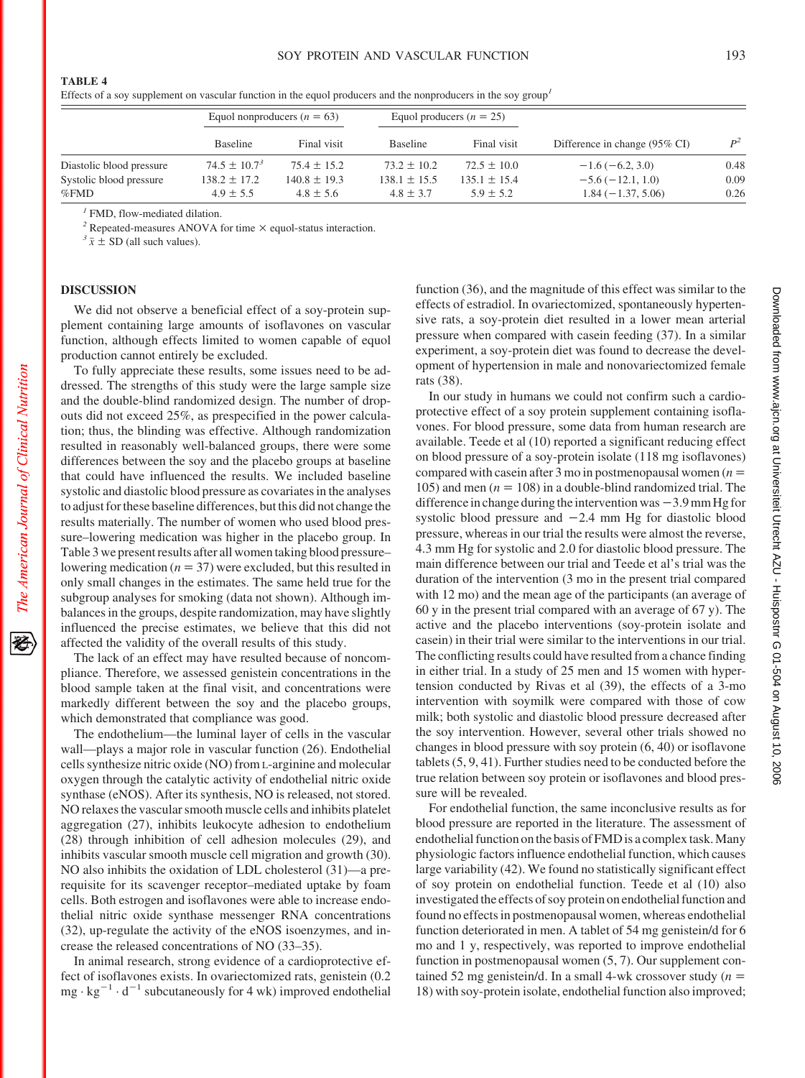|                          | Equol nonproducers $(n = 63)$ |                  | Equol producers $(n = 25)$ |                  |                               |                |
|--------------------------|-------------------------------|------------------|----------------------------|------------------|-------------------------------|----------------|
|                          | <b>Baseline</b>               | Final visit      | <b>Baseline</b>            | Final visit      | Difference in change (95% CI) | $\mathbf{p}^2$ |
| Diastolic blood pressure | $74.5 \pm 10.7^3$             | $75.4 \pm 15.2$  | $73.2 \pm 10.2$            | $72.5 \pm 10.0$  | $-1.6(-6.2, 3.0)$             | 0.48           |
| Systolic blood pressure  | $138.2 \pm 17.2$              | $140.8 \pm 19.3$ | $138.1 \pm 15.5$           | $135.1 \pm 15.4$ | $-5.6(-12.1, 1.0)$            | 0.09           |
| %FMD                     | $4.9 \pm 5.5$                 | $4.8 \pm 5.6$    | $4.8 \pm 3.7$              | $5.9 \pm 5.2$    | $1.84(-1.37, 5.06)$           | 0.26           |

**TABLE 4**

Effects of a soy supplement on vascular function in the equol producers and the nonproducers in the soy group*<sup>1</sup>*

*<sup>1</sup>* FMD, flow-mediated dilation.

<sup>2</sup> Repeated-measures ANOVA for time  $\times$  equol-status interaction.

 $\sqrt[3]{x} \pm SD$  (all such values).

## **DISCUSSION**

We did not observe a beneficial effect of a soy-protein supplement containing large amounts of isoflavones on vascular function, although effects limited to women capable of equol production cannot entirely be excluded.

To fully appreciate these results, some issues need to be addressed. The strengths of this study were the large sample size and the double-blind randomized design. The number of dropouts did not exceed 25%, as prespecified in the power calculation; thus, the blinding was effective. Although randomization resulted in reasonably well-balanced groups, there were some differences between the soy and the placebo groups at baseline that could have influenced the results. We included baseline systolic and diastolic blood pressure as covariates in the analyses to adjust for these baseline differences, but this did not change the results materially. The number of women who used blood pressure–lowering medication was higher in the placebo group. In Table 3 we present results after all women taking blood pressure– lowering medication ( $n = 37$ ) were excluded, but this resulted in only small changes in the estimates. The same held true for the subgroup analyses for smoking (data not shown). Although imbalances in the groups, despite randomization, may have slightly influenced the precise estimates, we believe that this did not affected the validity of the overall results of this study.

The lack of an effect may have resulted because of noncompliance. Therefore, we assessed genistein concentrations in the blood sample taken at the final visit, and concentrations were markedly different between the soy and the placebo groups, which demonstrated that compliance was good.

The endothelium—the luminal layer of cells in the vascular wall—plays a major role in vascular function (26). Endothelial cells synthesize nitric oxide (NO) from L-arginine and molecular oxygen through the catalytic activity of endothelial nitric oxide synthase (eNOS). After its synthesis, NO is released, not stored. NO relaxes the vascular smooth muscle cells and inhibits platelet aggregation (27), inhibits leukocyte adhesion to endothelium (28) through inhibition of cell adhesion molecules (29), and inhibits vascular smooth muscle cell migration and growth (30). NO also inhibits the oxidation of LDL cholesterol (31)—a prerequisite for its scavenger receptor–mediated uptake by foam cells. Both estrogen and isoflavones were able to increase endothelial nitric oxide synthase messenger RNA concentrations (32), up-regulate the activity of the eNOS isoenzymes, and increase the released concentrations of NO (33–35).

In animal research, strong evidence of a cardioprotective effect of isoflavones exists. In ovariectomized rats, genistein (0.2  $mg \cdot kg^{-1} \cdot d^{-1}$  subcutaneously for 4 wk) improved endothelial

function (36), and the magnitude of this effect was similar to the effects of estradiol. In ovariectomized, spontaneously hypertensive rats, a soy-protein diet resulted in a lower mean arterial pressure when compared with casein feeding (37). In a similar experiment, a soy-protein diet was found to decrease the development of hypertension in male and nonovariectomized female rats (38).

In our study in humans we could not confirm such a cardioprotective effect of a soy protein supplement containing isoflavones. For blood pressure, some data from human research are available. Teede et al (10) reported a significant reducing effect on blood pressure of a soy-protein isolate (118 mg isoflavones) compared with casein after 3 mo in postmenopausal women (*n* 105) and men  $(n = 108)$  in a double-blind randomized trial. The difference in change during the intervention was  $-3.9$  mm Hg for systolic blood pressure and  $-2.4$  mm Hg for diastolic blood pressure, whereas in our trial the results were almost the reverse, 4.3 mm Hg for systolic and 2.0 for diastolic blood pressure. The main difference between our trial and Teede et al's trial was the duration of the intervention (3 mo in the present trial compared with 12 mo) and the mean age of the participants (an average of 60 y in the present trial compared with an average of 67 y). The active and the placebo interventions (soy-protein isolate and casein) in their trial were similar to the interventions in our trial. The conflicting results could have resulted from a chance finding in either trial. In a study of 25 men and 15 women with hypertension conducted by Rivas et al (39), the effects of a 3-mo intervention with soymilk were compared with those of cow milk; both systolic and diastolic blood pressure decreased after the soy intervention. However, several other trials showed no changes in blood pressure with soy protein (6, 40) or isoflavone tablets (5, 9, 41). Further studies need to be conducted before the true relation between soy protein or isoflavones and blood pressure will be revealed.

For endothelial function, the same inconclusive results as for blood pressure are reported in the literature. The assessment of endothelial function onthe basis of FMDis a complextask.Many physiologic factors influence endothelial function, which causes large variability (42). We found no statistically significant effect of soy protein on endothelial function. Teede et al (10) also investigated the effects of soy protein on endothelial function and found no effects in postmenopausal women, whereas endothelial function deteriorated in men. A tablet of 54 mg genistein/d for 6 mo and 1 y, respectively, was reported to improve endothelial function in postmenopausal women (5, 7). Our supplement contained 52 mg genistein/d. In a small 4-wk crossover study (*n* 18) with soy-protein isolate, endothelial function also improved;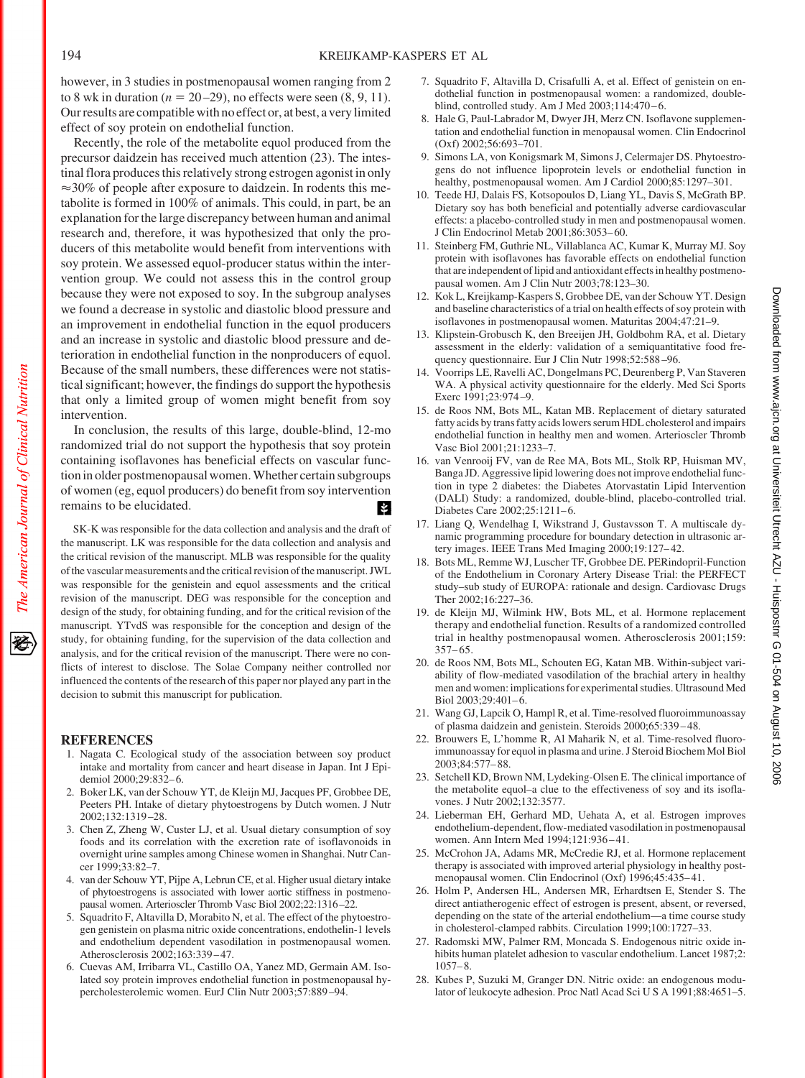however, in 3 studies in postmenopausal women ranging from 2 to 8 wk in duration ( $n = 20-29$ ), no effects were seen (8, 9, 11). Our results are compatible with no effect or, at best, a verylimited effect of soy protein on endothelial function.

Recently, the role of the metabolite equol produced from the precursor daidzein has received much attention (23). The intestinal flora produces this relatively strong estrogen agonist in only  $\approx$ 30% of people after exposure to daidzein. In rodents this metabolite is formed in 100% of animals. This could, in part, be an explanation for the large discrepancy between human and animal research and, therefore, it was hypothesized that only the producers of this metabolite would benefit from interventions with soy protein. We assessed equol-producer status within the intervention group. We could not assess this in the control group because they were not exposed to soy. In the subgroup analyses we found a decrease in systolic and diastolic blood pressure and an improvement in endothelial function in the equol producers and an increase in systolic and diastolic blood pressure and deterioration in endothelial function in the nonproducers of equol. Because of the small numbers, these differences were not statistical significant; however, the findings do support the hypothesis that only a limited group of women might benefit from soy intervention.

In conclusion, the results of this large, double-blind, 12-mo randomized trial do not support the hypothesis that soy protein containing isoflavones has beneficial effects on vascular functionin older postmenopausal women.Whether certain subgroups of women (eg, equol producers) do benefit from soy intervention remains to be elucidated.

SK-K was responsible for the data collection and analysis and the draft of the manuscript. LK was responsible for the data collection and analysis and the critical revision of the manuscript. MLB was responsible for the quality of the vascular measurements and the critical revision of the manuscript. JWL was responsible for the genistein and equol assessments and the critical revision of the manuscript. DEG was responsible for the conception and design of the study, for obtaining funding, and for the critical revision of the manuscript. YTvdS was responsible for the conception and design of the study, for obtaining funding, for the supervision of the data collection and analysis, and for the critical revision of the manuscript. There were no conflicts of interest to disclose. The Solae Company neither controlled nor influenced the contents of the research of this paper nor played any part in the decision to submit this manuscript for publication.

### **REFERENCES**

- 1. Nagata C. Ecological study of the association between soy product intake and mortality from cancer and heart disease in Japan. Int J Epidemiol 2000:29:832-6.
- 2. Boker LK, van der Schouw YT, de Kleijn MJ, Jacques PF, Grobbee DE, Peeters PH. Intake of dietary phytoestrogens by Dutch women. J Nutr 2002;132:1319 –28.
- 3. Chen Z, Zheng W, Custer LJ, et al. Usual dietary consumption of soy foods and its correlation with the excretion rate of isoflavonoids in overnight urine samples among Chinese women in Shanghai. Nutr Cancer 1999;33:82–7.
- 4. van der Schouw YT, Pijpe A, Lebrun CE, et al. Higher usual dietary intake of phytoestrogens is associated with lower aortic stiffness in postmenopausal women. Arterioscler Thromb Vasc Biol 2002;22:1316 –22.
- 5. Squadrito F, Altavilla D, Morabito N, et al. The effect of the phytoestrogen genistein on plasma nitric oxide concentrations, endothelin-1 levels and endothelium dependent vasodilation in postmenopausal women. Atherosclerosis 2002;163:339 – 47.
- 6. Cuevas AM, Irribarra VL, Castillo OA, Yanez MD, Germain AM. Isolated soy protein improves endothelial function in postmenopausal hypercholesterolemic women. EurJ Clin Nutr 2003;57:889 –94.
- 7. Squadrito F, Altavilla D, Crisafulli A, et al. Effect of genistein on endothelial function in postmenopausal women: a randomized, doubleblind, controlled study. Am J Med 2003;114:470-6.
- 8. Hale G, Paul-Labrador M, Dwyer JH, Merz CN. Isoflavone supplementation and endothelial function in menopausal women. Clin Endocrinol (Oxf) 2002;56:693–701.
- 9. Simons LA, von Konigsmark M, Simons J, Celermajer DS. Phytoestrogens do not influence lipoprotein levels or endothelial function in healthy, postmenopausal women. Am J Cardiol 2000;85:1297–301.
- 10. Teede HJ, Dalais FS, Kotsopoulos D, Liang YL, Davis S, McGrath BP. Dietary soy has both beneficial and potentially adverse cardiovascular effects: a placebo-controlled study in men and postmenopausal women. J Clin Endocrinol Metab 2001;86:3053– 60.
- 11. Steinberg FM, Guthrie NL, Villablanca AC, Kumar K, Murray MJ. Soy protein with isoflavones has favorable effects on endothelial function that are independent of lipid and antioxidant effects in healthy postmenopausal women. Am J Clin Nutr 2003;78:123–30.
- 12. Kok L, Kreijkamp-Kaspers S, Grobbee DE, van der Schouw YT. Design and baseline characteristics of a trial on health effects of soy protein with isoflavones in postmenopausal women. Maturitas 2004;47:21–9.
- 13. Klipstein-Grobusch K, den Breeijen JH, Goldbohm RA, et al. Dietary assessment in the elderly: validation of a semiquantitative food frequency questionnaire. Eur J Clin Nutr 1998;52:588 –96.
- 14. Voorrips LE, Ravelli AC, Dongelmans PC, Deurenberg P, Van Staveren WA. A physical activity questionnaire for the elderly. Med Sci Sports Exerc 1991;23:974 –9.
- 15. de Roos NM, Bots ML, Katan MB. Replacement of dietary saturated fatty acids by trans fatty acids lowers serum HDL cholesterol and impairs endothelial function in healthy men and women. Arterioscler Thromb Vasc Biol 2001;21:1233–7.
- 16. van Venrooij FV, van de Ree MA, Bots ML, Stolk RP, Huisman MV, Banga JD. Aggressive lipid lowering does not improve endothelial function in type 2 diabetes: the Diabetes Atorvastatin Lipid Intervention (DALI) Study: a randomized, double-blind, placebo-controlled trial. Diabetes Care 2002;25:1211-6.
- 17. Liang Q, Wendelhag I, Wikstrand J, Gustavsson T. A multiscale dynamic programming procedure for boundary detection in ultrasonic artery images. IEEE Trans Med Imaging 2000;19:127– 42.
- 18. Bots ML, Remme WJ, Luscher TF, Grobbee DE. PERindopril-Function of the Endothelium in Coronary Artery Disease Trial: the PERFECT study–sub study of EUROPA: rationale and design. Cardiovasc Drugs Ther 2002;16:227–36.
- 19. de Kleijn MJ, Wilmink HW, Bots ML, et al. Hormone replacement therapy and endothelial function. Results of a randomized controlled trial in healthy postmenopausal women. Atherosclerosis 2001;159:  $357 - 65$ .
- 20. de Roos NM, Bots ML, Schouten EG, Katan MB. Within-subject variability of flow-mediated vasodilation of the brachial artery in healthy men and women: implications for experimental studies. Ultrasound Med Biol 2003;29:401-6.
- 21. Wang GJ, Lapcik O, Hampl R, et al. Time-resolved fluoroimmunoassay of plasma daidzein and genistein. Steroids 2000;65:339 – 48.
- 22. Brouwers E, L'homme R, Al Maharik N, et al. Time-resolved fluoroimmunoassay for equol in plasma and urine. J Steroid Biochem Mol Biol 2003;84:577– 88.
- 23. Setchell KD, Brown NM, Lydeking-Olsen E. The clinical importance of the metabolite equol–a clue to the effectiveness of soy and its isoflavones. J Nutr 2002;132:3577.
- 24. Lieberman EH, Gerhard MD, Uehata A, et al. Estrogen improves endothelium-dependent, flow-mediated vasodilation in postmenopausal women. Ann Intern Med 1994;121:936 – 41.
- 25. McCrohon JA, Adams MR, McCredie RJ, et al. Hormone replacement therapy is associated with improved arterial physiology in healthy postmenopausal women. Clin Endocrinol (Oxf) 1996;45:435– 41.
- 26. Holm P, Andersen HL, Andersen MR, Erhardtsen E, Stender S. The direct antiatherogenic effect of estrogen is present, absent, or reversed, depending on the state of the arterial endothelium—a time course study in cholesterol-clamped rabbits. Circulation 1999;100:1727–33.
- 27. Radomski MW, Palmer RM, Moncada S. Endogenous nitric oxide inhibits human platelet adhesion to vascular endothelium. Lancet 1987;2:  $1057 - 8.$
- 28. Kubes P, Suzuki M, Granger DN. Nitric oxide: an endogenous modulator of leukocyte adhesion. Proc Natl Acad Sci U S A 1991;88:4651–5.